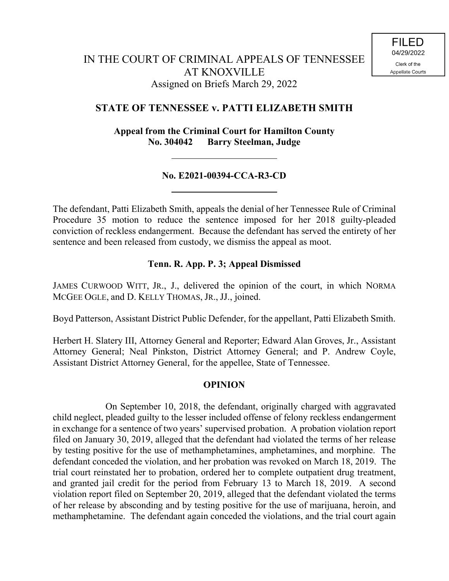## **STATE OF TENNESSEE v. PATTI ELIZABETH SMITH**

**Appeal from the Criminal Court for Hamilton County No. 304042 Barry Steelman, Judge**

## **No. E2021-00394-CCA-R3-CD**

The defendant, Patti Elizabeth Smith, appeals the denial of her Tennessee Rule of Criminal Procedure 35 motion to reduce the sentence imposed for her 2018 guilty-pleaded conviction of reckless endangerment. Because the defendant has served the entirety of her sentence and been released from custody, we dismiss the appeal as moot.

## **Tenn. R. App. P. 3; Appeal Dismissed**

JAMES CURWOOD WITT, JR., J., delivered the opinion of the court, in which NORMA MCGEE OGLE, and D. KELLY THOMAS, JR., JJ., joined.

Boyd Patterson, Assistant District Public Defender, for the appellant, Patti Elizabeth Smith.

Herbert H. Slatery III, Attorney General and Reporter; Edward Alan Groves, Jr., Assistant Attorney General; Neal Pinkston, District Attorney General; and P. Andrew Coyle, Assistant District Attorney General, for the appellee, State of Tennessee.

## **OPINION**

On September 10, 2018, the defendant, originally charged with aggravated child neglect, pleaded guilty to the lesser included offense of felony reckless endangerment in exchange for a sentence of two years' supervised probation. A probation violation report filed on January 30, 2019, alleged that the defendant had violated the terms of her release by testing positive for the use of methamphetamines, amphetamines, and morphine. The defendant conceded the violation, and her probation was revoked on March 18, 2019. The trial court reinstated her to probation, ordered her to complete outpatient drug treatment, and granted jail credit for the period from February 13 to March 18, 2019. A second violation report filed on September 20, 2019, alleged that the defendant violated the terms of her release by absconding and by testing positive for the use of marijuana, heroin, and methamphetamine. The defendant again conceded the violations, and the trial court again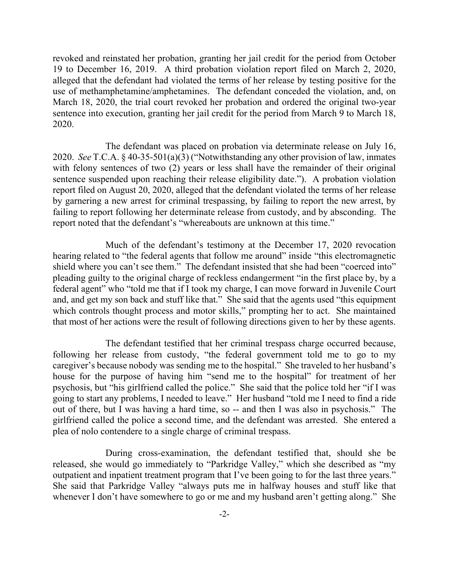revoked and reinstated her probation, granting her jail credit for the period from October 19 to December 16, 2019. A third probation violation report filed on March 2, 2020, alleged that the defendant had violated the terms of her release by testing positive for the use of methamphetamine/amphetamines. The defendant conceded the violation, and, on March 18, 2020, the trial court revoked her probation and ordered the original two-year sentence into execution, granting her jail credit for the period from March 9 to March 18, 2020.

The defendant was placed on probation via determinate release on July 16, 2020. *See* T.C.A. § 40-35-501(a)(3) ("Notwithstanding any other provision of law, inmates with felony sentences of two (2) years or less shall have the remainder of their original sentence suspended upon reaching their release eligibility date."). A probation violation report filed on August 20, 2020, alleged that the defendant violated the terms of her release by garnering a new arrest for criminal trespassing, by failing to report the new arrest, by failing to report following her determinate release from custody, and by absconding. The report noted that the defendant's "whereabouts are unknown at this time."

Much of the defendant's testimony at the December 17, 2020 revocation hearing related to "the federal agents that follow me around" inside "this electromagnetic shield where you can't see them." The defendant insisted that she had been "coerced into" pleading guilty to the original charge of reckless endangerment "in the first place by, by a federal agent" who "told me that if I took my charge, I can move forward in Juvenile Court and, and get my son back and stuff like that." She said that the agents used "this equipment which controls thought process and motor skills," prompting her to act. She maintained that most of her actions were the result of following directions given to her by these agents.

The defendant testified that her criminal trespass charge occurred because, following her release from custody, "the federal government told me to go to my caregiver's because nobody was sending me to the hospital." She traveled to her husband's house for the purpose of having him "send me to the hospital" for treatment of her psychosis, but "his girlfriend called the police." She said that the police told her "if I was going to start any problems, I needed to leave." Her husband "told me I need to find a ride out of there, but I was having a hard time, so -- and then I was also in psychosis." The girlfriend called the police a second time, and the defendant was arrested. She entered a plea of nolo contendere to a single charge of criminal trespass.

During cross-examination, the defendant testified that, should she be released, she would go immediately to "Parkridge Valley," which she described as "my outpatient and inpatient treatment program that I've been going to for the last three years." She said that Parkridge Valley "always puts me in halfway houses and stuff like that whenever I don't have somewhere to go or me and my husband aren't getting along." She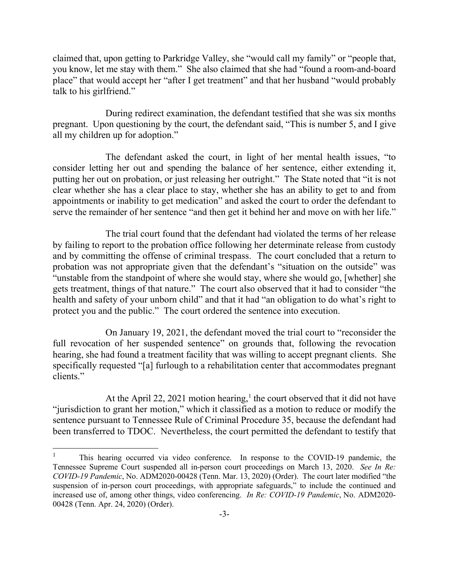claimed that, upon getting to Parkridge Valley, she "would call my family" or "people that, you know, let me stay with them." She also claimed that she had "found a room-and-board place" that would accept her "after I get treatment" and that her husband "would probably talk to his girlfriend."

During redirect examination, the defendant testified that she was six months pregnant. Upon questioning by the court, the defendant said, "This is number 5, and I give all my children up for adoption."

The defendant asked the court, in light of her mental health issues, "to consider letting her out and spending the balance of her sentence, either extending it, putting her out on probation, or just releasing her outright." The State noted that "it is not clear whether she has a clear place to stay, whether she has an ability to get to and from appointments or inability to get medication" and asked the court to order the defendant to serve the remainder of her sentence "and then get it behind her and move on with her life."

The trial court found that the defendant had violated the terms of her release by failing to report to the probation office following her determinate release from custody and by committing the offense of criminal trespass. The court concluded that a return to probation was not appropriate given that the defendant's "situation on the outside" was "unstable from the standpoint of where she would stay, where she would go, [whether] she gets treatment, things of that nature." The court also observed that it had to consider "the health and safety of your unborn child" and that it had "an obligation to do what's right to protect you and the public." The court ordered the sentence into execution.

On January 19, 2021, the defendant moved the trial court to "reconsider the full revocation of her suspended sentence" on grounds that, following the revocation hearing, she had found a treatment facility that was willing to accept pregnant clients. She specifically requested "[a] furlough to a rehabilitation center that accommodates pregnant clients."

At the April 22, 2021 motion hearing,<sup>1</sup> the court observed that it did not have "jurisdiction to grant her motion," which it classified as a motion to reduce or modify the sentence pursuant to Tennessee Rule of Criminal Procedure 35, because the defendant had been transferred to TDOC. Nevertheless, the court permitted the defendant to testify that

l

<sup>&</sup>lt;sup>1</sup> This hearing occurred via video conference. In response to the COVID-19 pandemic, the Tennessee Supreme Court suspended all in-person court proceedings on March 13, 2020. *See In Re: COVID-19 Pandemic*, No. ADM2020-00428 (Tenn. Mar. 13, 2020) (Order). The court later modified "the suspension of in-person court proceedings, with appropriate safeguards," to include the continued and increased use of, among other things, video conferencing. *In Re: COVID-19 Pandemic*, No. ADM2020- 00428 (Tenn. Apr. 24, 2020) (Order).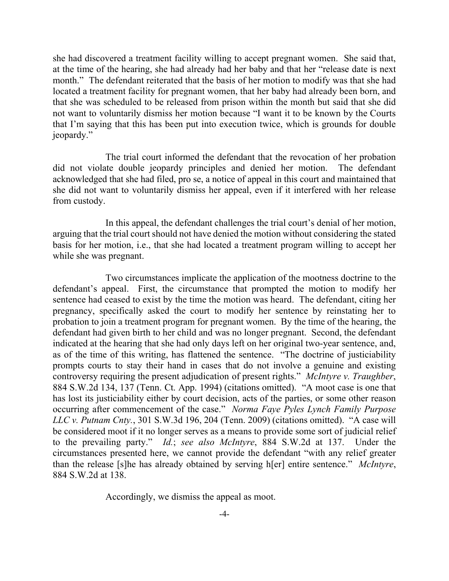she had discovered a treatment facility willing to accept pregnant women. She said that, at the time of the hearing, she had already had her baby and that her "release date is next month." The defendant reiterated that the basis of her motion to modify was that she had located a treatment facility for pregnant women, that her baby had already been born, and that she was scheduled to be released from prison within the month but said that she did not want to voluntarily dismiss her motion because "I want it to be known by the Courts that I'm saying that this has been put into execution twice, which is grounds for double jeopardy."

The trial court informed the defendant that the revocation of her probation did not violate double jeopardy principles and denied her motion. The defendant acknowledged that she had filed, pro se, a notice of appeal in this court and maintained that she did not want to voluntarily dismiss her appeal, even if it interfered with her release from custody.

In this appeal, the defendant challenges the trial court's denial of her motion, arguing that the trial court should not have denied the motion without considering the stated basis for her motion, i.e., that she had located a treatment program willing to accept her while she was pregnant.

Two circumstances implicate the application of the mootness doctrine to the defendant's appeal. First, the circumstance that prompted the motion to modify her sentence had ceased to exist by the time the motion was heard. The defendant, citing her pregnancy, specifically asked the court to modify her sentence by reinstating her to probation to join a treatment program for pregnant women. By the time of the hearing, the defendant had given birth to her child and was no longer pregnant. Second, the defendant indicated at the hearing that she had only days left on her original two-year sentence, and, as of the time of this writing, has flattened the sentence. "The doctrine of justiciability prompts courts to stay their hand in cases that do not involve a genuine and existing controversy requiring the present adjudication of present rights." *McIntyre v. Traughber*, 884 S.W.2d 134, 137 (Tenn. Ct. App. 1994) (citations omitted). "A moot case is one that has lost its justiciability either by court decision, acts of the parties, or some other reason occurring after commencement of the case." *Norma Faye Pyles Lynch Family Purpose LLC v. Putnam Cnty.*, 301 S.W.3d 196, 204 (Tenn. 2009) (citations omitted). "A case will be considered moot if it no longer serves as a means to provide some sort of judicial relief to the prevailing party." *Id.*; *see also McIntyre*, 884 S.W.2d at 137. Under the circumstances presented here, we cannot provide the defendant "with any relief greater than the release [s]he has already obtained by serving h[er] entire sentence." *McIntyre*, 884 S.W.2d at 138.

Accordingly, we dismiss the appeal as moot.